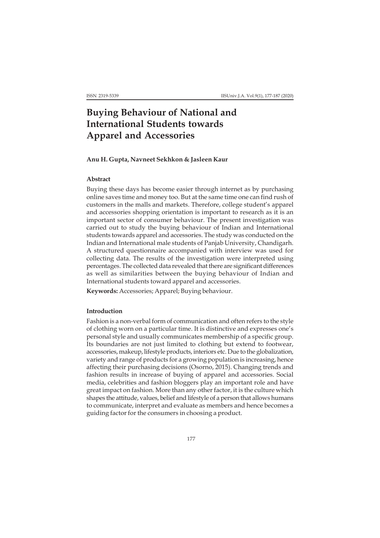# **Buying Behaviour of National and International Students towards Apparel and Accessories**

## **Anu H. Gupta, Navneet Sekhkon & Jasleen Kaur**

# **Abstract**

Buying these days has become easier through internet as by purchasing online saves time and money too. But at the same time one can find rush of customers in the malls and markets. Therefore, college student's apparel and accessories shopping orientation is important to research as it is an important sector of consumer behaviour. The present investigation was carried out to study the buying behaviour of Indian and International students towards apparel and accessories. The study was conducted on the Indian and International male students of Panjab University, Chandigarh. A structured questionnaire accompanied with interview was used for collecting data. The results of the investigation were interpreted using percentages. The collected data revealed that there are significant differences as well as similarities between the buying behaviour of Indian and International students toward apparel and accessories.

**Keywords:** Accessories; Apparel; Buying behaviour.

## **Introduction**

Fashion is a non-verbal form of communication and often refers to the style of clothing worn on a particular time. It is distinctive and expresses one's personal style and usually communicates membership of a specific group. Its boundaries are not just limited to clothing but extend to footwear, accessories, makeup, lifestyle products, interiors etc. Due to the globalization, variety and range of products for a growing population is increasing, hence affecting their purchasing decisions (Osorno, 2015). Changing trends and fashion results in increase of buying of apparel and accessories. Social media, celebrities and fashion bloggers play an important role and have great impact on fashion. More than any other factor, it is the culture which shapes the attitude, values, belief and lifestyle of a person that allows humans to communicate, interpret and evaluate as members and hence becomes a guiding factor for the consumers in choosing a product.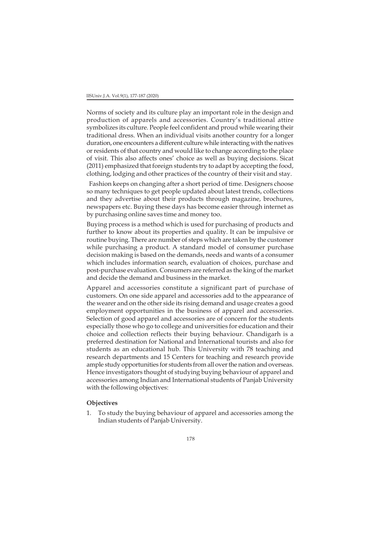Norms of society and its culture play an important role in the design and production of apparels and accessories. Country's traditional attire symbolizes its culture. People feel confident and proud while wearing their traditional dress. When an individual visits another country for a longer duration, one encounters a different culture while interacting with the natives or residents of that countryand would like to change according to the place of visit. This also affects ones' choice as well as buying decisions. Sicat (2011) emphasized that foreign students try to adapt by accepting the food, clothing, lodging and other practices of the country of their visit and stay.

 Fashion keeps on changing after a short period of time. Designers choose so many techniques to get people updated about latest trends, collections and they advertise about their products through magazine, brochures, newspapers etc. Buying these days has become easier through internet as by purchasing online saves time and money too.

Buying process is a method which is used for purchasing of products and further to know about its properties and quality. It can be impulsive or routine buying. There are number of steps which are taken by the customer while purchasing a product. A standard model of consumer purchase decision making is based on the demands, needs and wants of a consumer which includes information search, evaluation of choices, purchase and post-purchase evaluation. Consumers are referred as the king of the market and decide the demand and business in the market.

Apparel and accessories constitute a significant part of purchase of customers. On one side apparel and accessories add to the appearance of the wearer and on the other side its rising demand and usage creates a good employment opportunities in the business of apparel and accessories. Selection of good apparel and accessories are of concern for the students especially those who go to college and universities for education and their choice and collection reflects their buying behaviour. Chandigarh is a preferred destination for National and International tourists and also for students as an educational hub. This University with 78 teaching and research departments and 15 Centers for teaching and research provide ample study opportunities for students from all over the nation and overseas. Hence investigators thought of studying buying behaviour of apparel and accessories among Indian and International students of Panjab University with the following objectives:

## **Objectives**

1. To study the buying behaviour of apparel and accessories among the Indian students of Panjab University.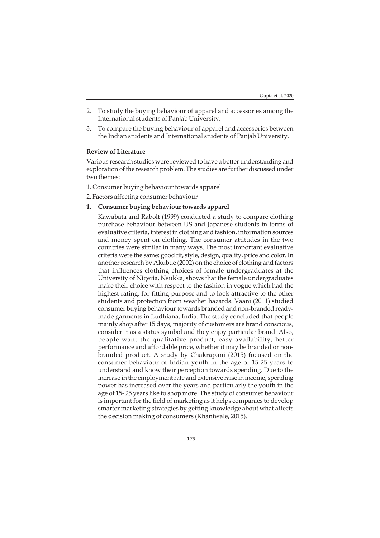- 2. To study the buying behaviour of apparel and accessories among the International students of Panjab University.
- 3. To compare the buying behaviour of apparel and accessories between the Indian students and International students of Panjab University.

## **Review of Literature**

Various research studies were reviewed to have a better understanding and exploration of the research problem. The studies are further discussed under two themes:

- 1. Consumer buying behaviour towards apparel
- 2. Factors affecting consumer behaviour

## **1. Consumer buying behaviour towards apparel**

Kawabata and Rabolt (1999) conducted a study to compare clothing purchase behaviour between US and Japanese students in terms of evaluative criteria, interest in clothing and fashion, information sources and money spent on clothing. The consumer attitudes in the two countries were similar in many ways. The most important evaluative criteria were the same: good fit, style, design, quality, price and color. In another research by Akubue (2002) on the choice of clothing and factors that influences clothing choices of female undergraduates at the University of Nigeria, Nsukka, shows that the female undergraduates make their choice with respect to the fashion in vogue which had the highest rating, for fitting purpose and to look attractive to the other students and protection from weather hazards. Vaani (2011) studied consumer buying behaviour towards branded and non-branded readymade garments in Ludhiana, India. The study concluded that people mainly shop after 15 days, majority of customers are brand conscious, consider it as a status symbol and they enjoy particular brand. Also, people want the qualitative product, easy availability, better performance and affordable price, whether it may be branded or nonbranded product. A study by Chakrapani (2015) focused on the consumer behaviour of Indian youth in the age of 15-25 years to understand and know their perception towards spending. Due to the increase in the employment rate and extensive raise in income, spending power has increased over the years and particularly the youth in the age of 15- 25 years like to shop more. The study of consumer behaviour is important for the field of marketing as it helps companies to develop smarter marketing strategies by getting knowledge about what affects the decision making of consumers (Khaniwale, 2015).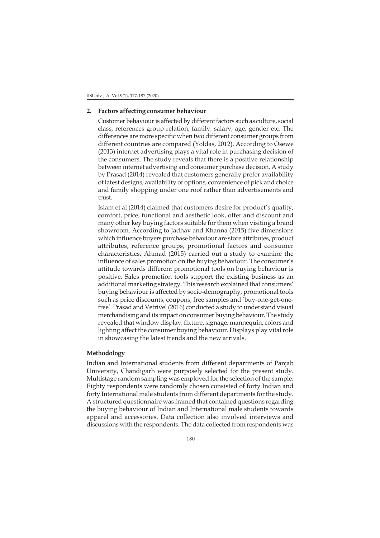## **2. Factors affecting consumer behaviour**

Customer behaviour is affected by different factors such as culture, social class, references group relation, family, salary, age, gender etc. The differences are more specific when two different consumer groups from different countries are compared (Yoldas, 2012). According to Osewe (2013) internet advertising plays a vital role in purchasing decision of the consumers. The study reveals that there is a positive relationship between internet advertising and consumer purchase decision. A study by Prasad (2014) revealed that customers generally prefer availability of latest designs, availability of options, convenience of pick and choice and family shopping under one roof rather than advertisements and trust.

Islam et al (2014) claimed that customers desire for product's quality, comfort, price, functional and aesthetic look, offer and discount and many other key buying factors suitable for them when visiting a brand showroom. According to Jadhav and Khanna (2015) five dimensions which influence buyers purchase behaviour are store attributes, product attributes, reference groups, promotional factors and consumer characteristics. Ahmad (2015) carried out a study to examine the influence of sales promotion on the buying behaviour. The consumer's attitude towards different promotional tools on buying behaviour is positive. Sales promotion tools support the existing business as an additional marketing strategy. This research explained that consumers' buying behaviour is affected by socio-demography, promotional tools such as price discounts, coupons, free samples and 'buy-one-get-onefree'. Prasad and Vetrivel (2016) conducted a study to understand visual merchandising and its impact on consumer buying behaviour. The study revealed that window display, fixture, signage, mannequin, colors and lighting affect the consumer buying behaviour. Displays play vital role in showcasing the latest trends and the new arrivals.

## **Methodology**

Indian and International students from different departments of Panjab University, Chandigarh were purposely selected for the present study. Multistage random sampling was employed for the selection of the sample. Eighty respondents were randomly chosen consisted of forty Indian and forty International male students from different departments for the study. A structured questionnaire was framed that contained questions regarding the buying behaviour of Indian and International male students towards apparel and accessories. Data collection also involved interviews and discussions with the respondents. The data collected from respondents was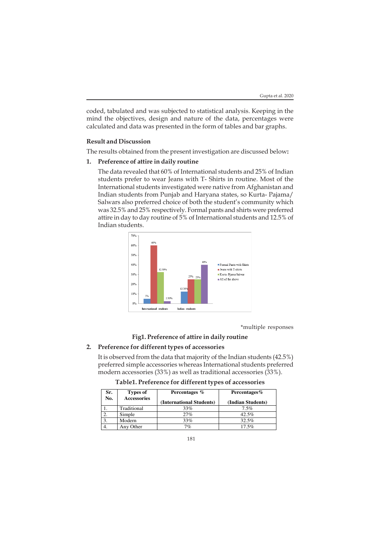coded, tabulated and was subjected to statistical analysis. Keeping in the mind the objectives, design and nature of the data, percentages were calculated and data was presented in the form of tables and bar graphs.

#### **Result and Discussion**

The results obtained from the present investigation are discussed below**:**

## **1. Preference of attire in daily routine**

The data revealed that 60% of International students and 25% of Indian students prefer to wear Jeans with T- Shirts in routine. Most of the International students investigated were native from Afghanistan and Indian students from Punjab and Haryana states, so Kurta- Pajama/ Salwars also preferred choice of both the student's community which was 32.5% and 25% respectively. Formal pants and shirts were preferred attire in day to day routine of 5% of International students and 12.5% of Indian students.



\*multiple responses

# **Fig1. Preference of attire in daily routine**

# **2. Preference for different types of accessories**

It is observed from the data that majority of the Indian students (42.5%) preferred simple accessories whereas International students preferred modern accessories (33%) as well as traditional accessories (33%).

**Table1. Preference for different types of accessories**

| Sr.<br>No. | Types of<br><b>Accessories</b> | Percentages %<br>(International Students) | Percentages%<br>(Indian Students) |  |  |
|------------|--------------------------------|-------------------------------------------|-----------------------------------|--|--|
|            | Traditional                    | 33%                                       | $7.5\%$                           |  |  |
|            | Simple                         | 27%                                       | 42.5%                             |  |  |
|            | Modern                         | 33%                                       | 32.5%                             |  |  |
| 4.         | Any Other                      | 7%                                        | 17.5%                             |  |  |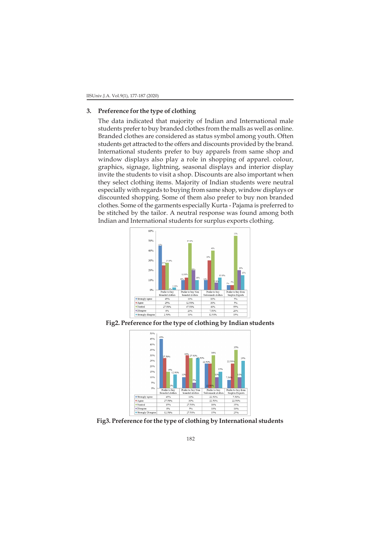## **3. Preference for the type of clothing**

The data indicated that majority of Indian and International male students prefer to buy branded clothes from the malls as well as online. Branded clothes are considered as status symbol among youth. Often students get attracted to the offers and discounts provided by the brand. International students prefer to buy apparels from same shop and window displays also play a role in shopping of apparel. colour, graphics, signage, lightning, seasonal displays and interior display invite the students to visit a shop. Discounts are also important when they select clothing items. Majority of Indian students were neutral especially with regards to buying from same shop, window displays or discounted shopping. Some of them also prefer to buy non branded clothes. Some of the garments especially Kurta - Pajama is preferred to be stitched by the tailor. A neutral response was found among both Indian and International students for surplus exports clothing.



**Fig2. Preference for the type of clothing by Indian students**



**Fig3. Preference for the type of clothing by International students**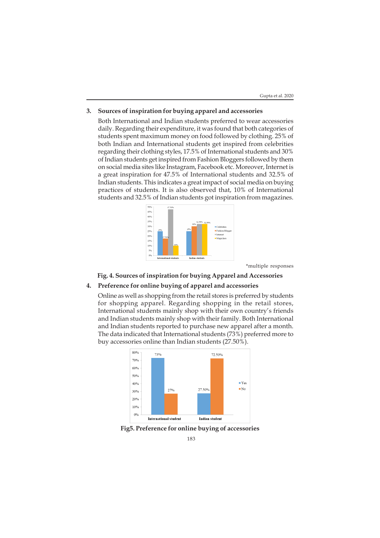### **3. Sources of inspiration for buying apparel and accessories**

Both International and Indian students preferred to wear accessories daily. Regarding their expenditure, it was found that both categories of students spent maximum money on food followed by clothing. 25% of both Indian and International students get inspired from celebrities regarding their clothing styles, 17.5% of International students and 30% of Indian students get inspired from Fashion Bloggers followed by them on social media sites like Instagram, Facebook etc. Moreover, Internet is a great inspiration for 47.5% of International students and 32.5% of Indian students. This indicates a great impact of social media on buying practices of students. It is also observed that, 10% of International students and 32.5% of Indian students got inspiration from magazines.



\*multiple responses

**Fig. 4. Sources of inspiration for buying Apparel and Accessories**

# **4. Preference for online buying of apparel and accessories**

Online as well as shopping from the retail stores is preferred by students for shopping apparel. Regarding shopping in the retail stores, International students mainly shop with their own country's friends and Indian students mainly shop with their family. Both International and Indian students reported to purchase new apparel after a month. The data indicated that International students (73%) preferred more to buy accessories online than Indian students (27.50%).



**Fig5. Preference for online buying of accessories**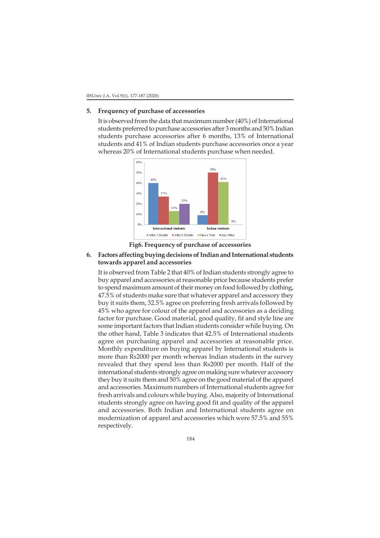### **5. Frequency of purchase of accessories**

It is observed from the data that maximum number (40%) of International students preferred to purchase accessories after 3 months and 50% Indian students purchase accessories after 6 months, 13% of International students and 41% of Indian students purchase accessories once a year whereas 20% of International students purchase when needed.



**Fig6. Frequency of purchase of accessories**

# **6. Factors affecting buying decisions of Indian and International students towards apparel and accessories**

It is observed from Table 2 that 40% of Indian students strongly agree to buy apparel and accessories at reasonable price because students prefer to spend maximum amount of their money on food followed by clothing, 47.5% of students make sure that whatever apparel and accessory they buy it suits them, 32.5% agree on preferring fresh arrivals followed by 45% who agree for colour of the apparel and accessories as a deciding factor for purchase. Good material, good quality, fit and style line are some important factors that Indian students consider while buying. On the other hand, Table 3 indicates that 42.5% of International students agree on purchasing apparel and accessories at reasonable price. Monthly expenditure on buying apparel by International students is more than Rs2000 per month whereas Indian students in the survey revealed that they spend less than Rs2000 per month. Half of the international students strongly agree on making sure whatever accessory they buy it suits them and 50% agree on the good material of the apparel and accessories. Maximum numbers of International students agree for fresh arrivals and colours while buying. Also, majority of International students strongly agree on having good fit and quality of the apparel and accessories. Both Indian and International students agree on modernization of apparel and accessories which were 57.5% and 55% respectively.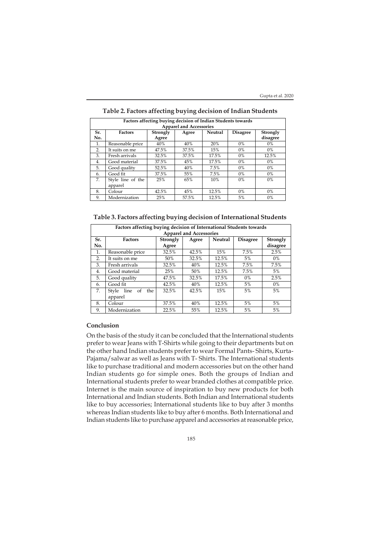| Factors affecting buying decision of Indian Students towards |                   |          |       |                |                 |          |  |  |  |  |
|--------------------------------------------------------------|-------------------|----------|-------|----------------|-----------------|----------|--|--|--|--|
| <b>Apparel and Accessories</b>                               |                   |          |       |                |                 |          |  |  |  |  |
| Sr.                                                          | <b>Factors</b>    | Strongly | Agree | <b>Neutral</b> | <b>Disagree</b> | Strongly |  |  |  |  |
| No.                                                          |                   | Agree    |       |                |                 | disagree |  |  |  |  |
| 1.                                                           | Reasonable price  | 40%      | 40%   | 20%            | $0\%$           | $0\%$    |  |  |  |  |
| 2.                                                           | It suits on me    | 47.5%    | 37.5% | 15%            | $0\%$           | $0\%$    |  |  |  |  |
| 3.                                                           | Fresh arrivals    | 32.5%    | 37.5% | 17.5%          | 0%              | 12.5%    |  |  |  |  |
| 4.                                                           | Good material     | 37.5%    | 45%   | 17.5%          | 0%              | $0\%$    |  |  |  |  |
| 5.                                                           | Good quality      | 52.5%    | 40%   | 7.5%           | $0\%$           | $0\%$    |  |  |  |  |
| 6.                                                           | Good fit          | 37.5%    | 55%   | 7.5%           | 0%              | 0%       |  |  |  |  |
| 7.                                                           | Style line of the | 25%      | 65%   | 10%            | $0\%$           | $0\%$    |  |  |  |  |
|                                                              | apparel           |          |       |                |                 |          |  |  |  |  |
| 8.                                                           | Colour            | 42.5%    | 45%   | 12.5%          | $0\%$           | $0\%$    |  |  |  |  |
| 9.                                                           | Modernization     | 25%      | 57.5% | 12.5%          | 5%              | $0\%$    |  |  |  |  |

## **Table 2. Factors affecting buying decision of Indian Students**

**Table 3. Factors affecting buying decision of International Students**

| Factors affecting buying decision of International Students towards |                                       |          |       |         |                 |          |  |  |  |
|---------------------------------------------------------------------|---------------------------------------|----------|-------|---------|-----------------|----------|--|--|--|
| <b>Apparel and Accessories</b>                                      |                                       |          |       |         |                 |          |  |  |  |
| Sr.                                                                 | <b>Factors</b>                        | Strongly | Agree | Neutral | <b>Disagree</b> | Strongly |  |  |  |
| No.                                                                 |                                       | Agree    |       |         |                 | disagree |  |  |  |
| 1.                                                                  | Reasonable price                      | 32.5%    | 42.5% | 15%     | 7.5%            | 2.5%     |  |  |  |
| 2.                                                                  | It suits on me                        | 50%      | 32.5% | 12.5%   | 5%              | $0\%$    |  |  |  |
| 3.                                                                  | Fresh arrivals                        | 32.5%    | 40%   | 12.5%   | 7.5%            | 7.5%     |  |  |  |
| 4.                                                                  | Good material                         | 25%      | 50%   | 12.5%   | 7.5%            | 5%       |  |  |  |
| 5.                                                                  | Good quality                          | 47.5%    | 32.5% | 17.5%   | $0\%$           | 2.5%     |  |  |  |
| 6.                                                                  | Good fit                              | 42.5%    | 40%   | 12.5%   | 5%              | $0\%$    |  |  |  |
| 7.                                                                  | line<br>Style<br><sub>of</sub><br>the | 32.5%    | 42.5% | 15%     | 5%              | 5%       |  |  |  |
|                                                                     | apparel                               |          |       |         |                 |          |  |  |  |
| 8.                                                                  | Colour                                | 37.5%    | 40%   | 12.5%   | 5%              | 5%       |  |  |  |
| 9.                                                                  | Modernization                         | 22.5%    | 55%   | 12.5%   | 5%              | 5%       |  |  |  |

# **Conclusion**

On the basis of the study it can be concluded that the International students prefer to wear Jeans with T-Shirts while going to their departments but on the other hand Indian students prefer to wear Formal Pants- Shirts, Kurta-Pajama/salwar as well as Jeans with T- Shirts. The International students like to purchase traditional and modern accessories but on the other hand Indian students go for simple ones. Both the groups of Indian and International students prefer to wear branded clothes at compatible price. Internet is the main source of inspiration to buy new products for both International and Indian students. Both Indian and International students like to buy accessories; International students like to buy after 3 months whereas Indian students like to buy after 6 months. Both International and Indian students like to purchase apparel and accessories at reasonable price,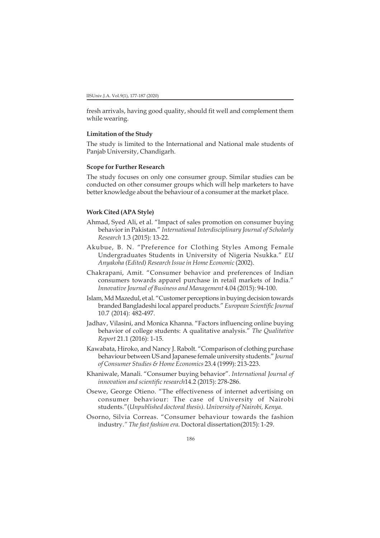fresh arrivals, having good quality, should fit well and complement them while wearing.

#### **Limitation of the Study**

The study is limited to the International and National male students of Panjab University, Chandigarh.

## **Scope for Further Research**

The study focuses on only one consumer group. Similar studies can be conducted on other consumer groups which will help marketers to have better knowledge about the behaviour of a consumer at the market place.

## **Work Cited (APA Style)**

- Ahmad, Syed Ali, et al. "Impact of sales promotion on consumer buying behavior in Pakistan." *International Interdisciplinary Journal of Scholarly Research* 1.3 (2015): 13-22.
- Akubue, B. N. "Preference for Clothing Styles Among Female Undergraduates Students in University of Nigeria Nsukka." *EU Anyakoha (Edited) Research Issue in Home Economic* (2002).
- Chakrapani, Amit. "Consumer behavior and preferences of Indian consumers towards apparel purchase in retail markets of India." *Innovative Journal of Business and Management* 4.04 (2015): 94-100.
- Islam, Md Mazedul, et al. "Customer perceptions in buying decision towards branded Bangladeshi local apparel products." *European Scientific Journal* 10.7 (2014): 482-497.
- Jadhav, Vilasini, and Monica Khanna. "Factors influencing online buying behavior of college students: A qualitative analysis." *The Qualitative Report* 21.1 (2016): 1-15.
- Kawabata, Hiroko, and Nancy J. Rabolt. "Comparison of clothing purchase behaviour between US and Japanese female university students." *Journal of Consumer Studies & Home Economics* 23.4 (1999): 213-223.
- Khaniwale, Manali. "Consumer buying behavior". *International Journal of innovation and scientific research*14.2 (2015): 278-286.
- Osewe, George Otieno. "The effectiveness of internet advertising on consumer behaviour: The case of University of Nairobi students."(*Unpublished doctoral thesis). University of Nairobi, Kenya.*
- Osorno, Silvia Correas. "Consumer behaviour towards the fashion industry.*" The fast fashion era*. Doctoral dissertation(2015): 1-29.